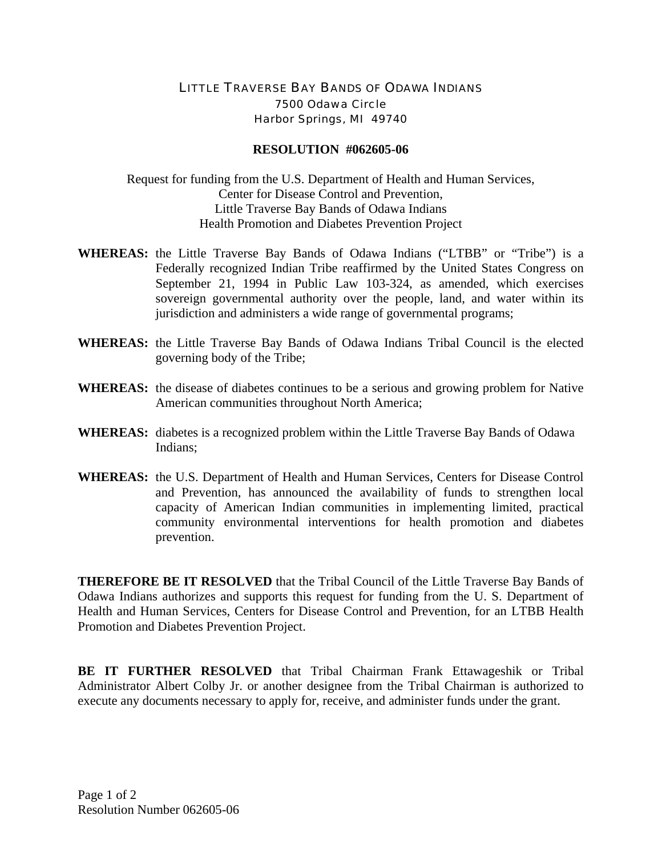## LITTLE TRAVERSE BAY BANDS OF ODAWA INDIANS 7500 Odawa Circle Harbor Springs, MI 49740

## **RESOLUTION #062605-06**

Request for funding from the U.S. Department of Health and Human Services, Center for Disease Control and Prevention, Little Traverse Bay Bands of Odawa Indians Health Promotion and Diabetes Prevention Project

- **WHEREAS:** the Little Traverse Bay Bands of Odawa Indians ("LTBB" or "Tribe") is a Federally recognized Indian Tribe reaffirmed by the United States Congress on September 21, 1994 in Public Law 103-324, as amended, which exercises sovereign governmental authority over the people, land, and water within its jurisdiction and administers a wide range of governmental programs;
- **WHEREAS:** the Little Traverse Bay Bands of Odawa Indians Tribal Council is the elected governing body of the Tribe;
- **WHEREAS:** the disease of diabetes continues to be a serious and growing problem for Native American communities throughout North America;
- **WHEREAS:** diabetes is a recognized problem within the Little Traverse Bay Bands of Odawa Indians;
- **WHEREAS:** the U.S. Department of Health and Human Services, Centers for Disease Control and Prevention, has announced the availability of funds to strengthen local capacity of American Indian communities in implementing limited, practical community environmental interventions for health promotion and diabetes prevention.

**THEREFORE BE IT RESOLVED** that the Tribal Council of the Little Traverse Bay Bands of Odawa Indians authorizes and supports this request for funding from the U. S. Department of Health and Human Services, Centers for Disease Control and Prevention, for an LTBB Health Promotion and Diabetes Prevention Project.

**BE IT FURTHER RESOLVED** that Tribal Chairman Frank Ettawageshik or Tribal Administrator Albert Colby Jr. or another designee from the Tribal Chairman is authorized to execute any documents necessary to apply for, receive, and administer funds under the grant.